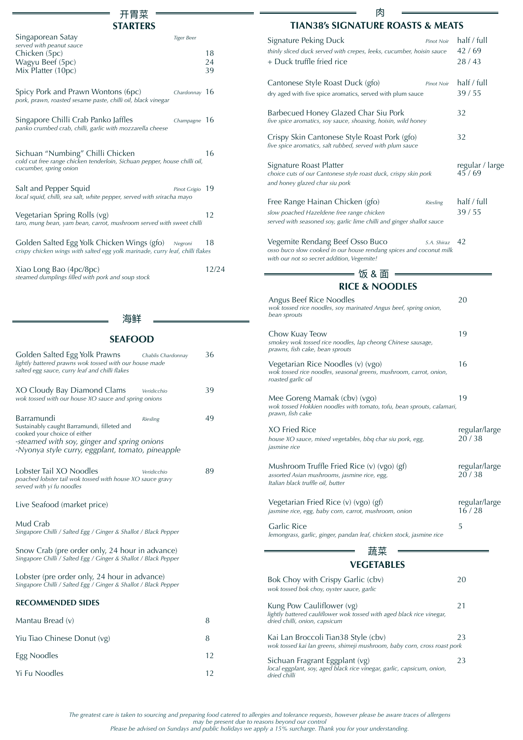# 开胃菜

| <b>STARTERS</b>                                                                                                                         |                |
|-----------------------------------------------------------------------------------------------------------------------------------------|----------------|
| Singaporean Satay<br><b>Tiger Beer</b><br>served with peanut sauce<br>Chicken (5pc)<br>Wagyu Beef (5pc)<br>Mix Platter (10pc)           | 18<br>24<br>39 |
| Spicy Pork and Prawn Wontons (6pc)<br>Chardonnay 16<br>pork, prawn, roasted sesame paste, chilli oil, black vinegar                     |                |
| Singapore Chilli Crab Panko Jaffles<br>Champagne $16$<br>panko crumbed crab, chilli, garlic with mozzarella cheese                      |                |
| Sichuan "Numbing" Chilli Chicken<br>cold cut free range chicken tenderloin, Sichuan pepper, house chilli oil,<br>cucumber, spring onion | 16             |
| Salt and Pepper Squid<br>Pinot Grigio<br>local squid, chilli, sea salt, white pepper, served with sriracha mayo                         | -19            |
| Vegetarian Spring Rolls (vg)<br>taro, mung bean, yam bean, carrot, mushroom served with sweet chilli                                    | 12             |
| Golden Salted Egg Yolk Chicken Wings (gfo) Negroni<br>crispy chicken wings with salted egg yolk marinade, curry leaf, chilli flakes     | 18             |
| Xiao Long Bao (4pc/8pc)                                                                                                                 | 12/24          |

#### 海鲜

*steamed dumplings filled with pork and soup stock*

| <b>SEAFOOD</b>                                                                                                                                                                               |                    |    |
|----------------------------------------------------------------------------------------------------------------------------------------------------------------------------------------------|--------------------|----|
| Golden Salted Egg Yolk Prawns<br>lightly battered prawns wok tossed with our house made<br>salted egg sauce, curry leaf and chilli flakes                                                    | Chablis Chardonnay | 36 |
| XO Cloudy Bay Diamond Clams<br>wok tossed with our house XO sauce and spring onions                                                                                                          | Veridicchio        | 39 |
| Barramundi<br>Sustainably caught Barramundi, filleted and<br>cooked your choice of either<br>-steamed with soy, ginger and spring onions<br>-Nyonya style curry, eggplant, tomato, pineapple | <b>Riesling</b>    | 49 |
| Lobster Tail XO Noodles<br>poached lobster tail wok tossed with house XO sauce gravy<br>served with yi fu noodles                                                                            | Veridicchio        | 89 |
| Live Seafood (market price)                                                                                                                                                                  |                    |    |
| Mud Crab<br>Singapore Chilli / Salted Egg / Ginger & Shallot / Black Pepper                                                                                                                  |                    |    |
| Snow Crab (pre order only, 24 hour in advance)<br>Singapore Chilli / Salted Egg / Ginger & Shallot / Black Pepper                                                                            |                    |    |
| Lobster (pre order only, 24 hour in advance)<br>Singapore Chilli / Salted Egg / Ginger & Shallot / Black Pepper                                                                              |                    |    |
| <b>RECOMMENDED SIDES</b>                                                                                                                                                                     |                    |    |
| Mantau Bread (v)                                                                                                                                                                             |                    | 8  |
| Yiu Tiao Chinese Donut (vg)                                                                                                                                                                  |                    | 8  |
| Egg Noodles                                                                                                                                                                                  |                    | 12 |

Yi Fu Noodles 12

## 肉 **TIAN38's SIGNATURE ROASTS & MEATS**

| Signature Peking Duck<br><b>Pinot Noir</b><br>thinly sliced duck served with crepes, leeks, cucumber, hoisin sauce<br>+ Duck truffle fried rice                          | half / full<br>42/69<br>28/43 |
|--------------------------------------------------------------------------------------------------------------------------------------------------------------------------|-------------------------------|
| Cantonese Style Roast Duck (gfo)<br><b>Pinot Noir</b><br>dry aged with five spice aromatics, served with plum sauce                                                      | half / full<br>39/55          |
| Barbecued Honey Glazed Char Siu Pork<br>five spice aromatics, soy sauce, shoaxing, hoisin, wild honey                                                                    | 32                            |
| Crispy Skin Cantonese Style Roast Pork (gfo)<br>five spice aromatics, salt rubbed, served with plum sauce                                                                | 32                            |
| Signature Roast Platter<br>choice cuts of our Cantonese style roast duck, crispy skin pork<br>and honey glazed char siu pork                                             | regular / large<br>45/69      |
| Free Range Hainan Chicken (gfo)<br><b>Riesling</b><br>slow poached Hazeldene free range chicken<br>served with seasoned soy, garlic lime chilli and ginger shallot sauce | half / full<br>39/55          |
| Vegemite Rendang Beef Osso Buco<br>S.A. Shiraz<br>osso buco slow cooked in our house rendang spices and coconut milk<br>with our not so secret addition, Vegemite!       | 42                            |

# **RICE & NOODLES** = 饭 & 面 =

| Angus Beef Rice Noodles<br>wok tossed rice noodles, soy marinated Angus beef, spring onion,<br>bean sprouts                     | 20                     |
|---------------------------------------------------------------------------------------------------------------------------------|------------------------|
| Chow Kuay Teow<br>smokey wok tossed rice noodles, lap cheong Chinese sausage,<br>prawns, fish cake, bean sprouts                | 19                     |
| Vegetarian Rice Noodles (v) (vgo)<br>wok tossed rice noodles, seasonal greens, mushroom, carrot, onion,<br>roasted garlic oil   | 16                     |
| Mee Goreng Mamak (cbv) (vgo)<br>wok tossed Hokkien noodles with tomato, tofu, bean sprouts, calamari,<br>prawn, fish cake       | 19                     |
| XO Fried Rice<br>house XO sauce, mixed vegetables, bbq char siu pork, egg,<br>jasmine rice                                      | regular/large<br>20/38 |
| Mushroom Truffle Fried Rice (v) (vgo) (gf)<br>assorted Asian mushrooms, jasmine rice, egg,<br>Italian black truffle oil, butter | regular/large<br>20/38 |
| Vegetarian Fried Rice (v) (vgo) (gf)<br>jasmine rice, egg, baby corn, carrot, mushroom, onion                                   | regular/large<br>16/28 |
| Garlic Rice<br>lemongrass, garlic, ginger, pandan leaf, chicken stock, jasmine rice                                             | 5                      |
|                                                                                                                                 |                        |

# **VEGETABLES**

| Bok Choy with Crispy Garlic (cbv)<br>wok tossed bok choy, oyster sauce, garlic                                                      | 20 |
|-------------------------------------------------------------------------------------------------------------------------------------|----|
| Kung Pow Cauliflower (vg)<br>lightly battered cauliflower wok tossed with aged black rice vinegar,<br>dried chilli, onion, capsicum | 21 |
| Kai Lan Broccoli Tian38 Style (cbv)<br>wok tossed kai lan greens, shimeji mushroom, baby corn, cross roast pork                     | 23 |
| Sichuan Fragrant Eggplant (vg)<br>local eggplant, soy, aged black rice vinegar, garlic, capsicum, onion,<br>dried chilli            | 23 |

*The greatest care is taken to sourcing and preparing food catered to allergies and tolerance requests, however please be aware traces of allergens* 

*may be present due to reasons beyond our control Please be advised on Sundays and public holidays we apply a 15% surcharge. Thank you for your understanding.*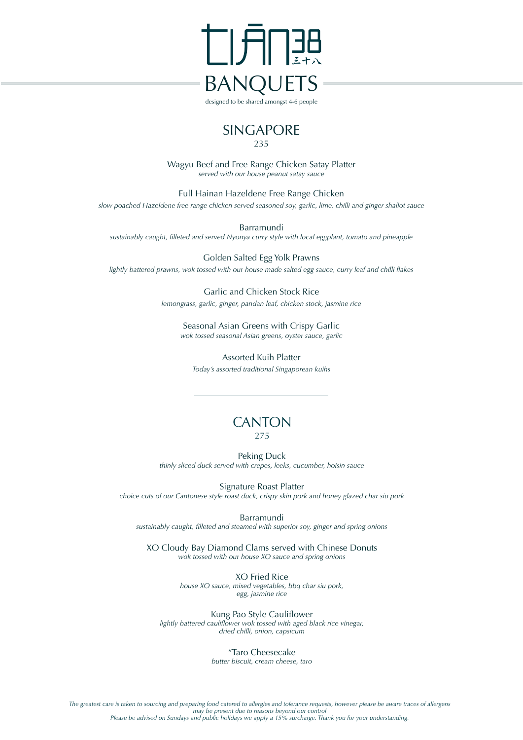

designed to be shared amongst 4-6 people

# SINGAPORE

235

Wagyu Beef and Free Range Chicken Satay Platter *served with our house peanut satay sauce*

Full Hainan Hazeldene Free Range Chicken *slow poached Hazeldene free range chicken served seasoned soy, garlic, lime, chilli and ginger shallot sauce*

Barramundi *sustainably caught, filleted and served Nyonya curry style with local eggplant, tomato and pineapple*

Golden Salted Egg Yolk Prawns *lightly battered prawns, wok tossed with our house made salted egg sauce, curry leaf and chilli flakes*

> Garlic and Chicken Stock Rice *lemongrass, garlic, ginger, pandan leaf, chicken stock, jasmine rice*

Seasonal Asian Greens with Crispy Garlic *wok tossed seasonal Asian greens, oyster sauce, garlic*

Assorted Kuih Platter *Today's assorted traditional Singaporean kuihs* 

# **CANTON** 275

Peking Duck *thinly sliced duck served with crepes, leeks, cucumber, hoisin sauce*

Signature Roast Platter *choice cuts of our Cantonese style roast duck, crispy skin pork and honey glazed char siu pork*

Barramundi

*sustainably caught, filleted and steamed with superior soy, ginger and spring onions*

XO Cloudy Bay Diamond Clams served with Chinese Donuts *wok tossed with our house XO sauce and spring onions*

> XO Fried Rice *house XO sauce, mixed vegetables, bbq char siu pork, egg, jasmine rice*

Kung Pao Style Cauliflower *lightly battered cauliflower wok tossed with aged black rice vinegar, dried chilli, onion, capsicum*

"Taro Cheesecake

*butter biscuit, cream cheese, taro*

*The greatest care is taken to sourcing and preparing food catered to allergies and tolerance requests, however please be aware traces of allergens may be present due to reasons beyond our control Please be advised on Sundays and public holidays we apply a 15% surcharge. Thank you for your understanding.*